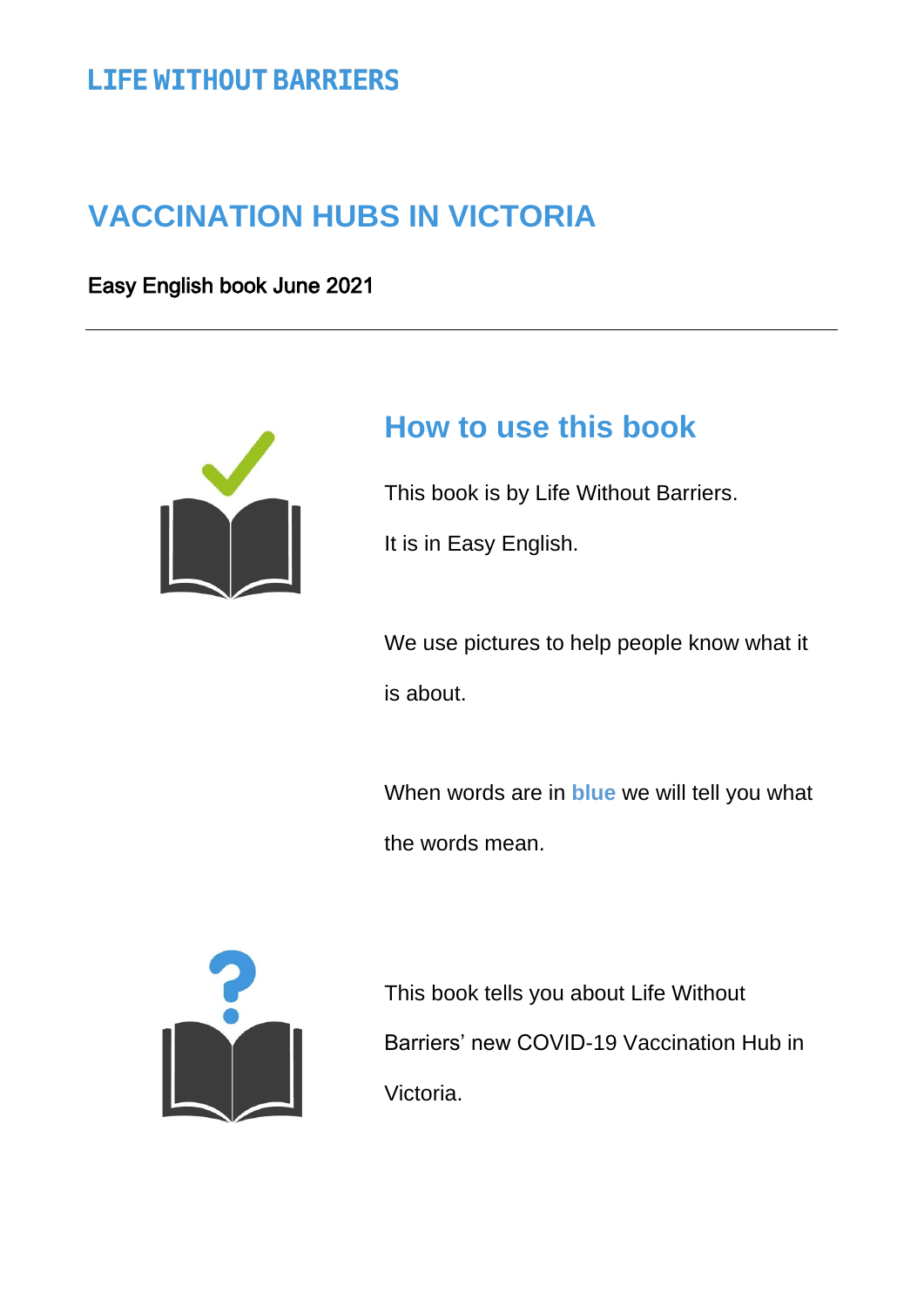# **LIFE WITHOUT BARRIERS**

# **VACCINATION HUBS IN VICTORIA**

Easy English book June 2021



# **How to use this book**

This book is by Life Without Barriers.

It is in Easy English.

We use pictures to help people know what it is about.

When words are in **blue** we will tell you what the words mean.



This book tells you about Life Without Barriers' new COVID-19 Vaccination Hub in Victoria.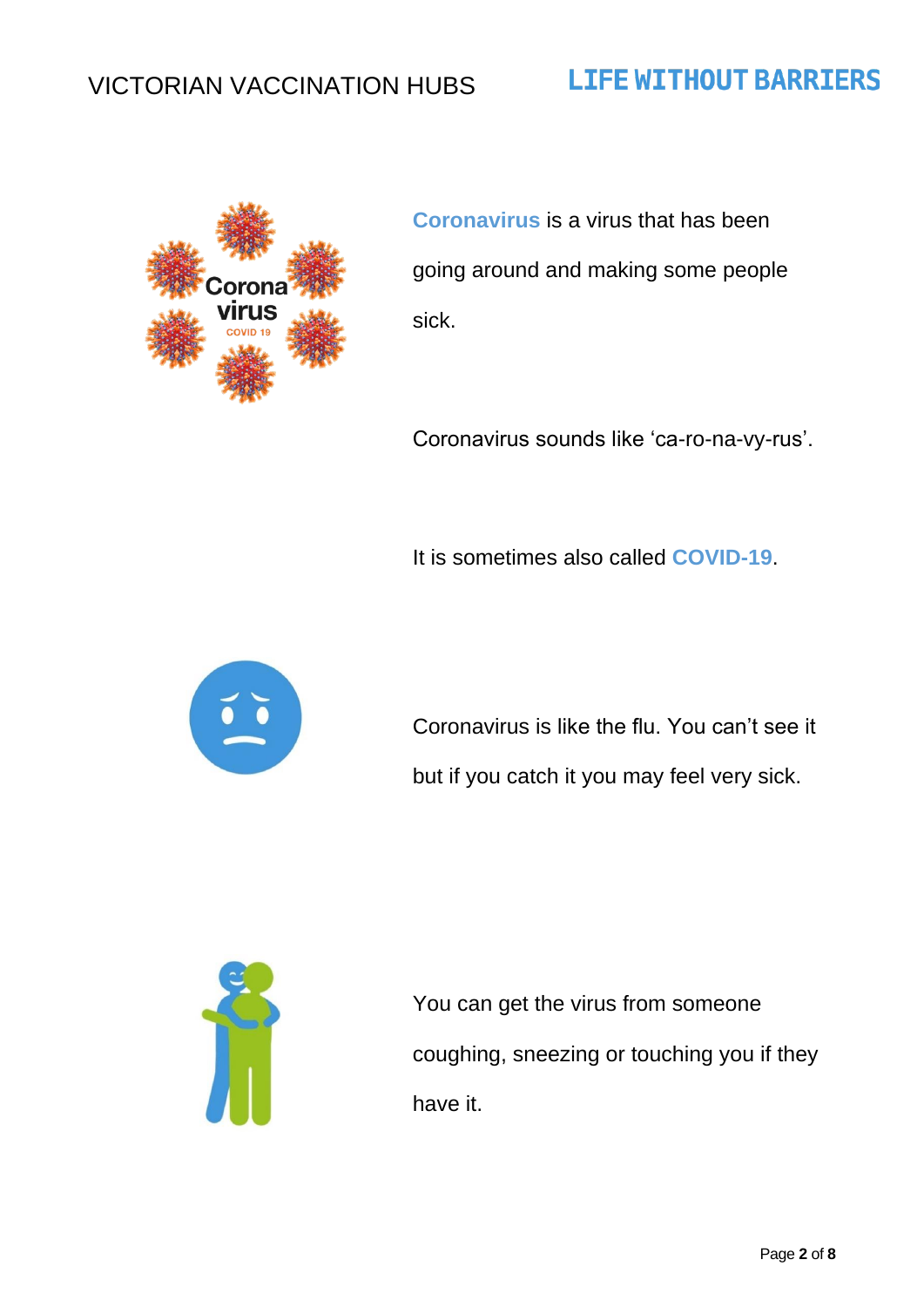# **LIFE WITHOUT BARRIERS**



**Coronavirus** is a virus that has been going around and making some people sick.

Coronavirus sounds like 'ca-ro-na-vy-rus'.

It is sometimes also called **COVID-19**.



Coronavirus is like the flu. You can't see it but if you catch it you may feel very sick.



You can get the virus from someone coughing, sneezing or touching you if they have it.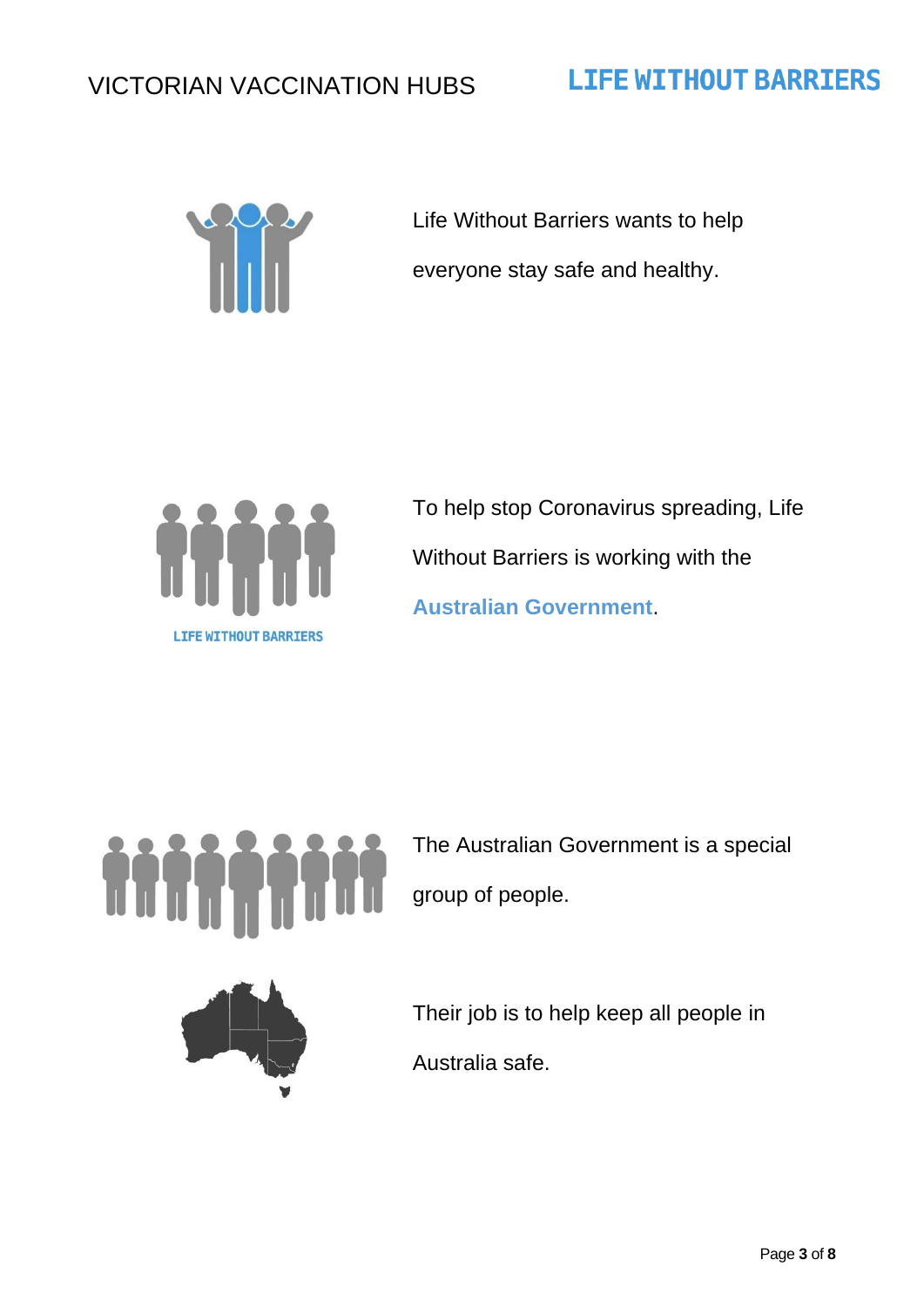# ili li

Life Without Barriers wants to help everyone stay safe and healthy.

**LIFE WITHOUT BARRIERS** 



To help stop Coronavirus spreading, Life Without Barriers is working with the **Australian Government**.



The Australian Government is a special group of people.



Their job is to help keep all people in Australia safe.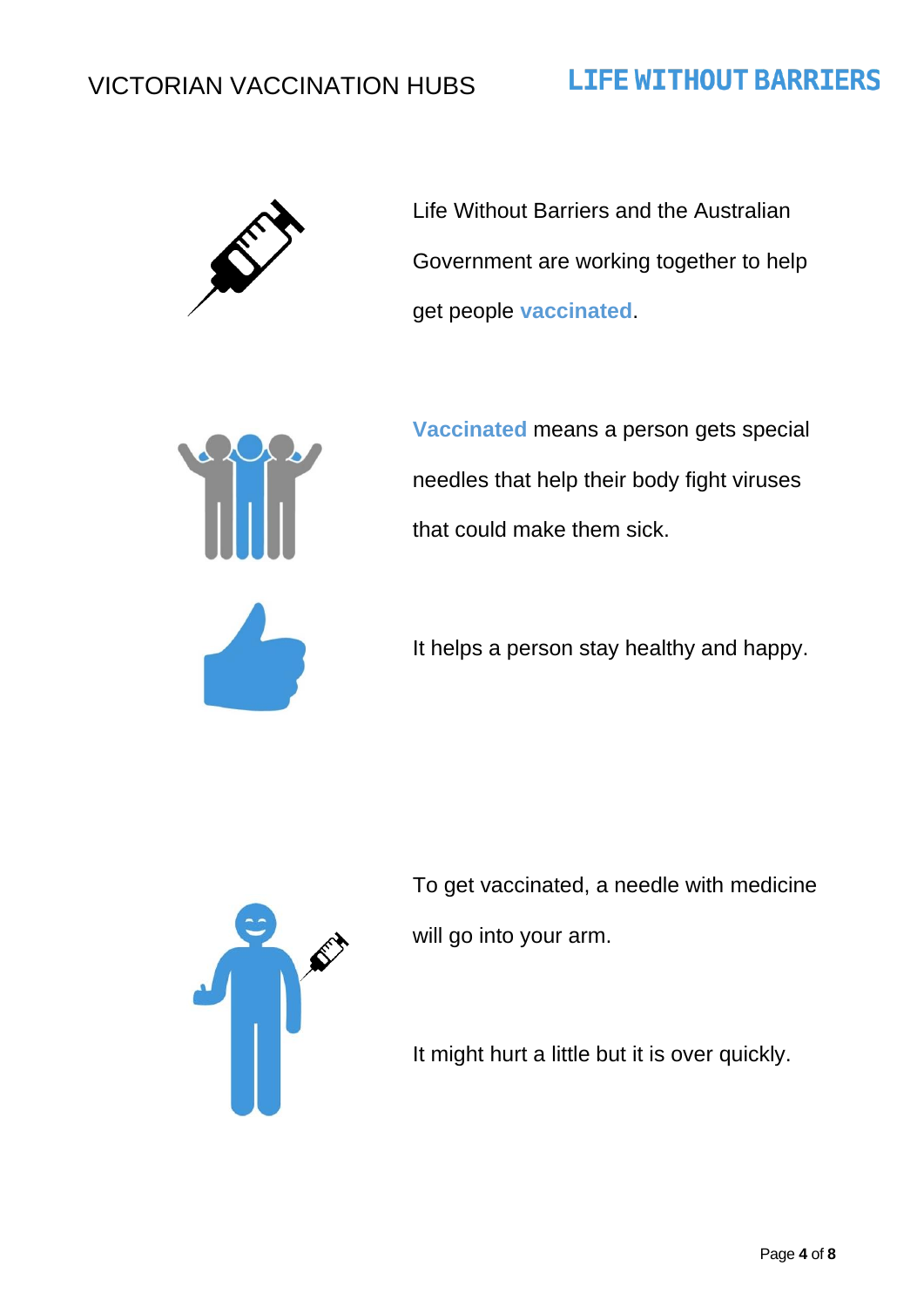# **LIFE WITHOUT BARRIERS**



Life Without Barriers and the Australian Government are working together to help get people **vaccinated**.



**Vaccinated** means a person gets special needles that help their body fight viruses that could make them sick.

It helps a person stay healthy and happy.



To get vaccinated, a needle with medicine will go into your arm.

It might hurt a little but it is over quickly.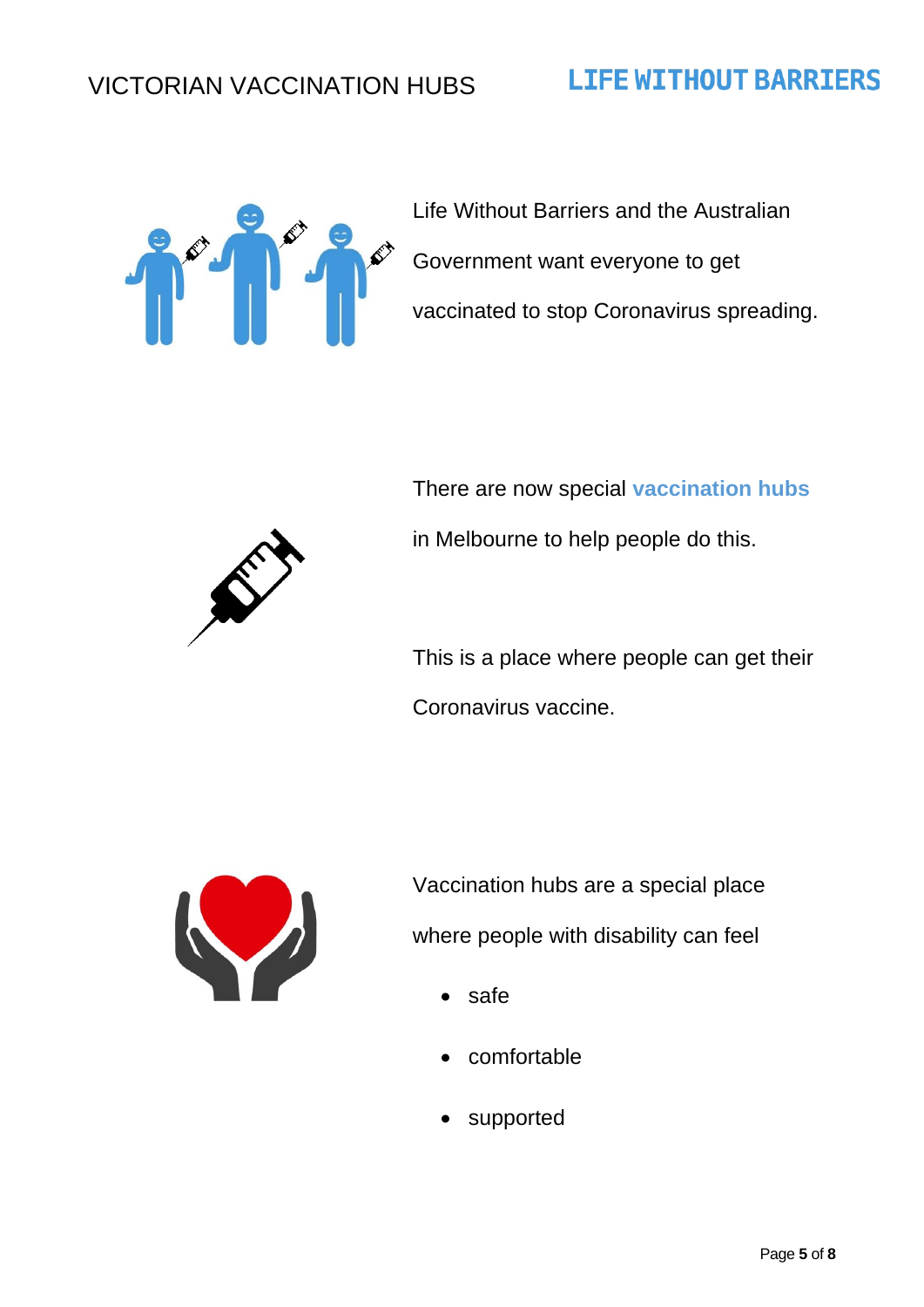### **LIFE WITHOUT BARRIERS**



Life Without Barriers and the Australian Government want everyone to get vaccinated to stop Coronavirus spreading.



There are now special **vaccination hubs** in Melbourne to help people do this.

This is a place where people can get their Coronavirus vaccine.



Vaccination hubs are a special place where people with disability can feel

- safe
- comfortable
- supported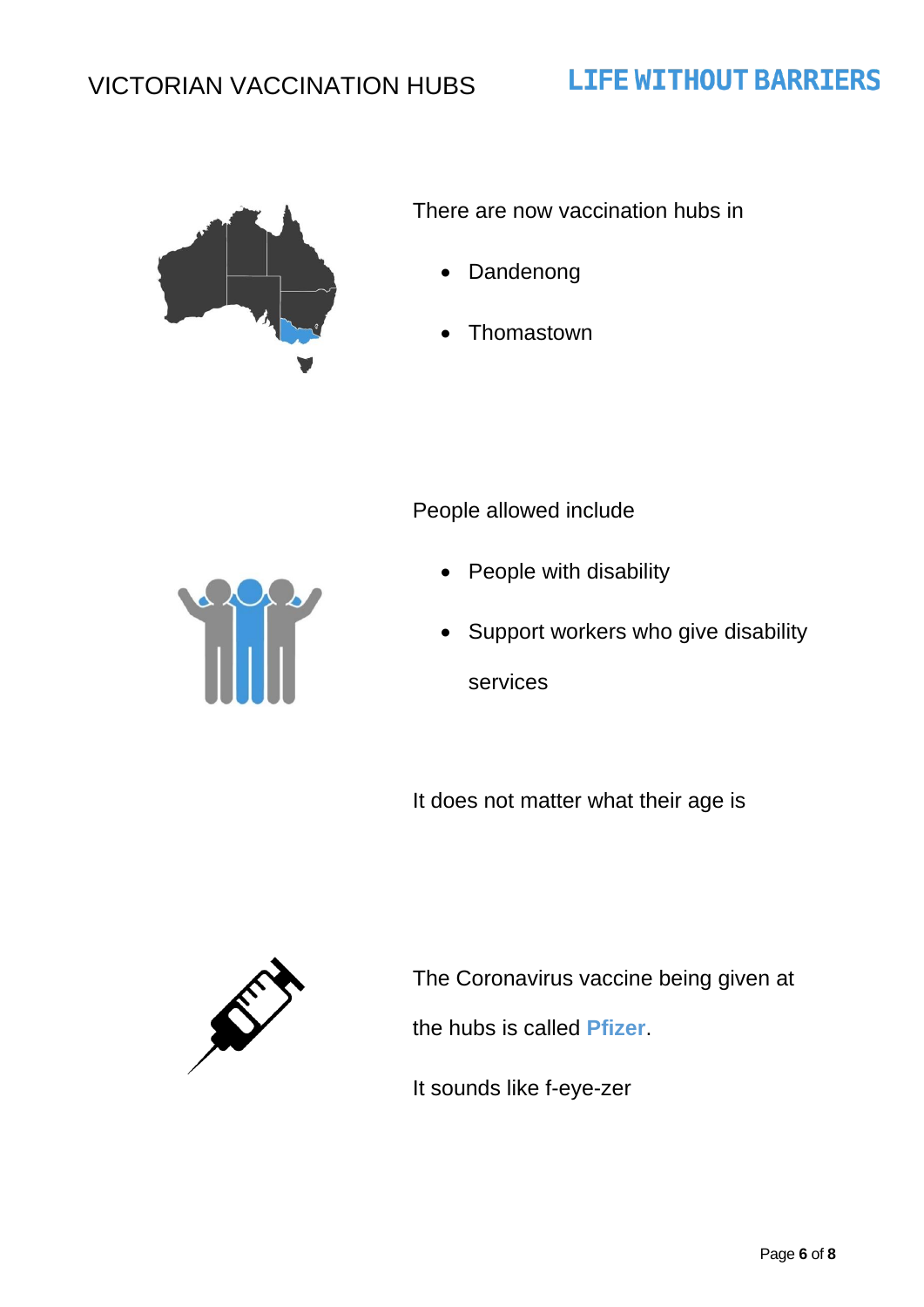

There are now vaccination hubs in

**LIFE WITHOUT BARRIERS** 

- **Dandenong**
- **Thomastown**

#### People allowed include

- People with disability
- Support workers who give disability services

It does not matter what their age is



The Coronavirus vaccine being given at

the hubs is called **Pfizer**.

It sounds like f-eye-zer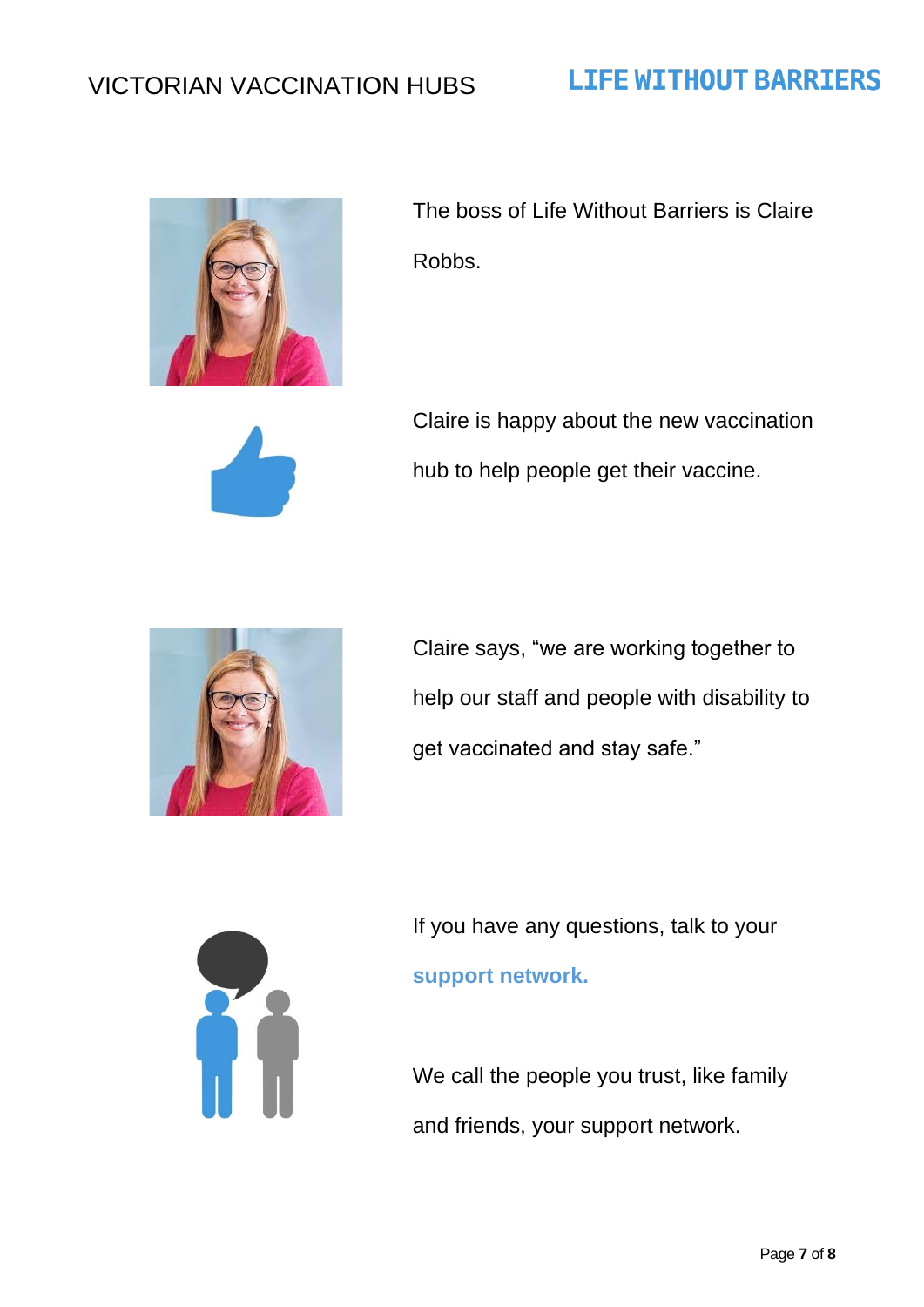# **LIFE WITHOUT BARRIERS**



The boss of Life Without Barriers is Claire Robbs.



Claire is happy about the new vaccination hub to help people get their vaccine.



Claire says, "we are working together to help our staff and people with disability to get vaccinated and stay safe."



If you have any questions, talk to your **support network.**

We call the people you trust, like family and friends, your support network.